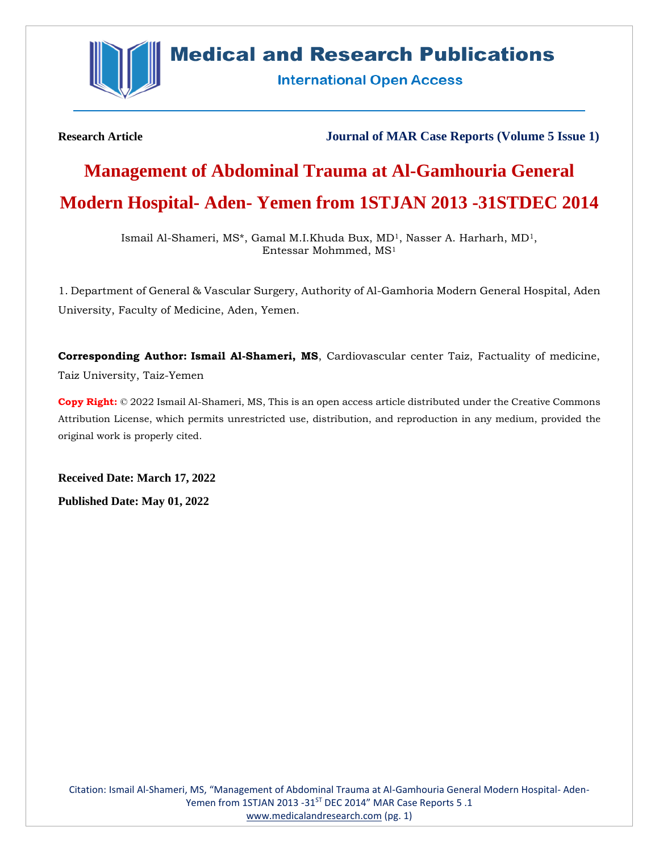

# **Medical and Research Publications**

**International Open Access** 

**Research Article Journal of MAR Case Reports (Volume 5 Issue 1)**

# **Management of Abdominal Trauma at Al-Gamhouria General Modern Hospital- Aden- Yemen from 1STJAN 2013 -31STDEC 2014**

Ismail Al-Shameri, MS\*, Gamal M.I.Khuda Bux, MD1, Nasser A. Harharh, MD1, Entessar Mohmmed, MS<sup>1</sup>

1. Department of General & Vascular Surgery, Authority of Al-Gamhoria Modern General Hospital, Aden University, Faculty of Medicine, Aden, Yemen.

**Corresponding Author: Ismail Al-Shameri, MS**, Cardiovascular center Taiz, Factuality of medicine, Taiz University, Taiz-Yemen

**Copy Right:** © 2022 Ismail Al-Shameri, MS, This is an open access article distributed under the Creative Commons Attribution License, which permits unrestricted use, distribution, and reproduction in any medium, provided the original work is properly cited.

**Received Date: March 17, 2022**

**Published Date: May 01, 2022**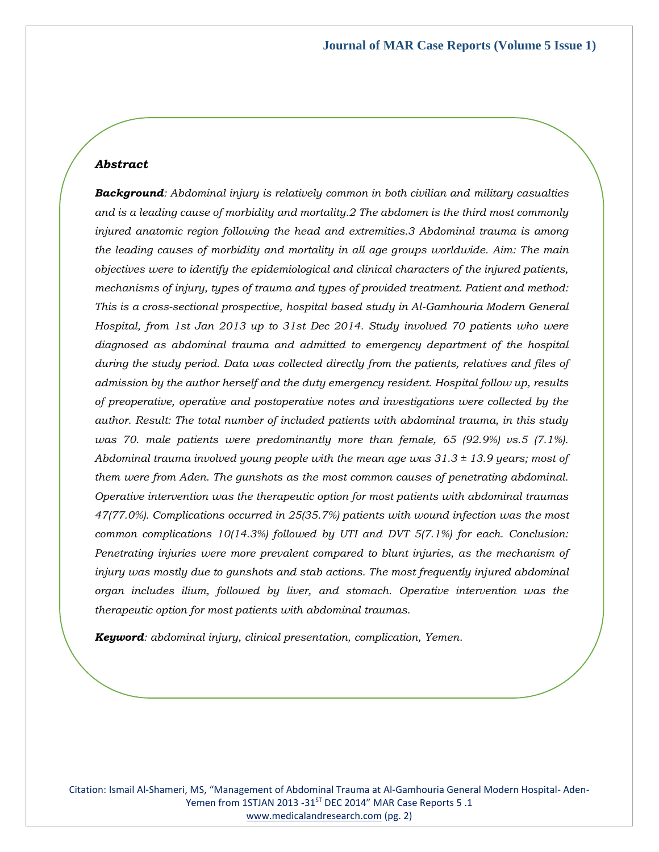### *Abstract*

*Background: Abdominal injury is relatively common in both civilian and military casualties and is a leading cause of morbidity and mortality.2 The abdomen is the third most commonly injured anatomic region following the head and extremities.3 Abdominal trauma is among the leading causes of morbidity and mortality in all age groups worldwide. Aim: The main objectives were to identify the epidemiological and clinical characters of the injured patients, mechanisms of injury, types of trauma and types of provided treatment. Patient and method: This is a cross-sectional prospective, hospital based study in Al-Gamhouria Modern General Hospital, from 1st Jan 2013 up to 31st Dec 2014. Study involved 70 patients who were diagnosed as abdominal trauma and admitted to emergency department of the hospital during the study period. Data was collected directly from the patients, relatives and files of admission by the author herself and the duty emergency resident. Hospital follow up, results of preoperative, operative and postoperative notes and investigations were collected by the author. Result: The total number of included patients with abdominal trauma, in this study was 70. male patients were predominantly more than female, 65 (92.9%) vs.5 (7.1%). Abdominal trauma involved young people with the mean age was 31.3 ± 13.9 years; most of them were from Aden. The gunshots as the most common causes of penetrating abdominal. Operative intervention was the therapeutic option for most patients with abdominal traumas 47(77.0%). Complications occurred in 25(35.7%) patients with wound infection was the most common complications 10(14.3%) followed by UTI and DVT 5(7.1%) for each. Conclusion: Penetrating injuries were more prevalent compared to blunt injuries, as the mechanism of injury was mostly due to gunshots and stab actions. The most frequently injured abdominal organ includes ilium, followed by liver, and stomach. Operative intervention was the therapeutic option for most patients with abdominal traumas.*

*Keyword: abdominal injury, clinical presentation, complication, Yemen.*

Citation: Ismail Al-Shameri, MS, "Management of Abdominal Trauma at Al-Gamhouria General Modern Hospital- Aden-Yemen from 1STJAN 2013 -31<sup>ST</sup> DEC 2014" MAR Case Reports 5 .1 [www.medicalandresearch.com](http://www.medicalandresearch.com/) (pg. 2)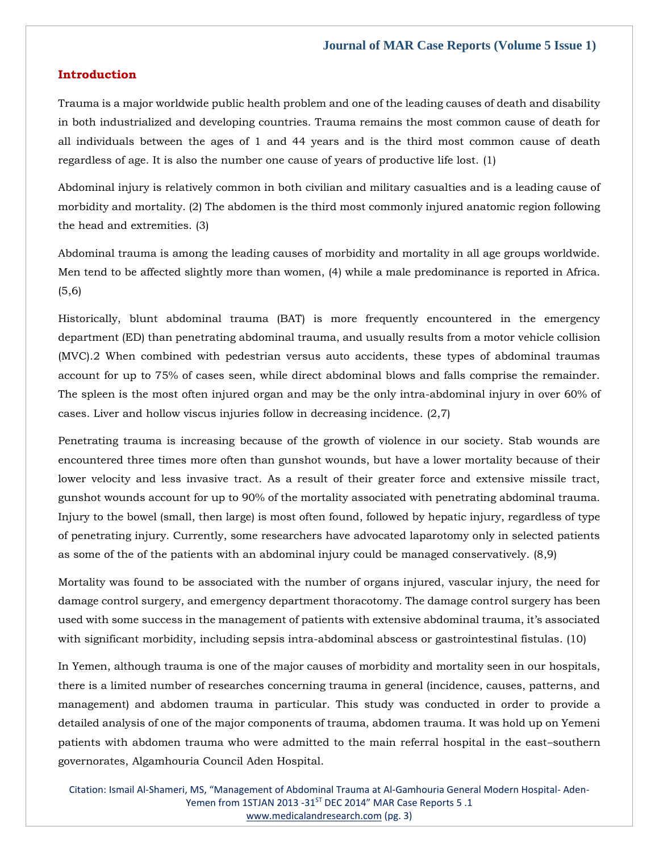#### **Introduction**

Trauma is a major worldwide public health problem and one of the leading causes of death and disability in both industrialized and developing countries. Trauma remains the most common cause of death for all individuals between the ages of 1 and 44 years and is the third most common cause of death regardless of age. It is also the number one cause of years of productive life lost. (1)

Abdominal injury is relatively common in both civilian and military casualties and is a leading cause of morbidity and mortality. (2) The abdomen is the third most commonly injured anatomic region following the head and extremities. (3)

Abdominal trauma is among the leading causes of morbidity and mortality in all age groups worldwide. Men tend to be affected slightly more than women, (4) while a male predominance is reported in Africa. (5,6)

Historically, blunt abdominal trauma (BAT) is more frequently encountered in the emergency department (ED) than penetrating abdominal trauma, and usually results from a motor vehicle collision (MVC).2 When combined with pedestrian versus auto accidents, these types of abdominal traumas account for up to 75% of cases seen, while direct abdominal blows and falls comprise the remainder. The spleen is the most often injured organ and may be the only intra-abdominal injury in over 60% of cases. Liver and hollow viscus injuries follow in decreasing incidence. (2,7)

Penetrating trauma is increasing because of the growth of violence in our society. Stab wounds are encountered three times more often than gunshot wounds, but have a lower mortality because of their lower velocity and less invasive tract. As a result of their greater force and extensive missile tract, gunshot wounds account for up to 90% of the mortality associated with penetrating abdominal trauma. Injury to the bowel (small, then large) is most often found, followed by hepatic injury, regardless of type of penetrating injury. Currently, some researchers have advocated laparotomy only in selected patients as some of the of the patients with an abdominal injury could be managed conservatively. (8,9)

Mortality was found to be associated with the number of organs injured, vascular injury, the need for damage control surgery, and emergency department thoracotomy. The damage control surgery has been used with some success in the management of patients with extensive abdominal trauma, it's associated with significant morbidity, including sepsis intra-abdominal abscess or gastrointestinal fistulas. (10)

In Yemen, although trauma is one of the major causes of morbidity and mortality seen in our hospitals, there is a limited number of researches concerning trauma in general (incidence, causes, patterns, and management) and abdomen trauma in particular. This study was conducted in order to provide a detailed analysis of one of the major components of trauma, abdomen trauma. It was hold up on Yemeni patients with abdomen trauma who were admitted to the main referral hospital in the east–southern governorates, Algamhouria Council Aden Hospital.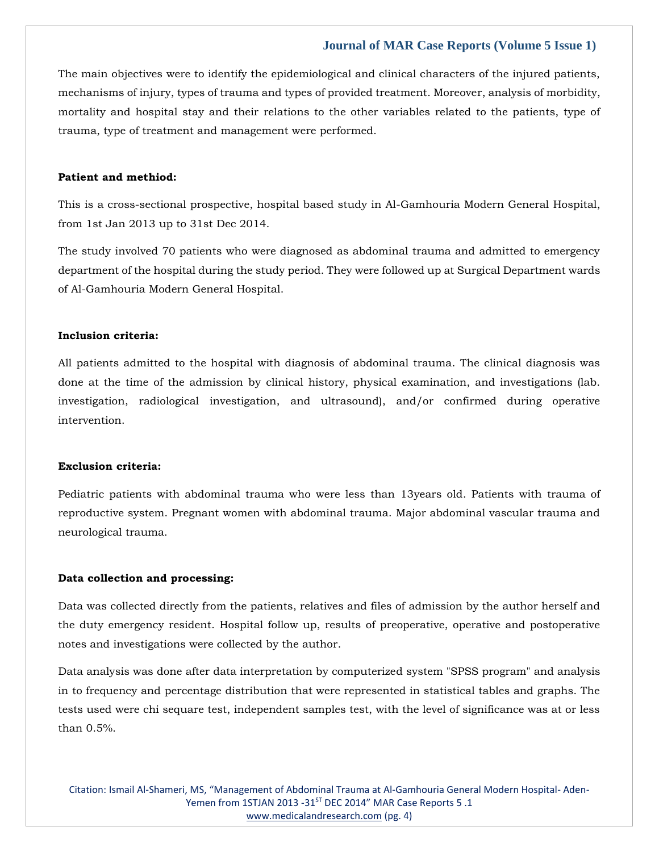The main objectives were to identify the epidemiological and clinical characters of the injured patients, mechanisms of injury, types of trauma and types of provided treatment. Moreover, analysis of morbidity, mortality and hospital stay and their relations to the other variables related to the patients, type of trauma, type of treatment and management were performed.

## **Patient and methiod:**

This is a cross-sectional prospective, hospital based study in Al-Gamhouria Modern General Hospital, from 1st Jan 2013 up to 31st Dec 2014.

The study involved 70 patients who were diagnosed as abdominal trauma and admitted to emergency department of the hospital during the study period. They were followed up at Surgical Department wards of Al-Gamhouria Modern General Hospital.

#### **Inclusion criteria:**

All patients admitted to the hospital with diagnosis of abdominal trauma. The clinical diagnosis was done at the time of the admission by clinical history, physical examination, and investigations (lab. investigation, radiological investigation, and ultrasound), and/or confirmed during operative intervention.

#### **Exclusion criteria:**

Pediatric patients with abdominal trauma who were less than 13years old. Patients with trauma of reproductive system. Pregnant women with abdominal trauma. Major abdominal vascular trauma and neurological trauma.

#### **Data collection and processing:**

Data was collected directly from the patients, relatives and files of admission by the author herself and the duty emergency resident. Hospital follow up, results of preoperative, operative and postoperative notes and investigations were collected by the author.

Data analysis was done after data interpretation by computerized system "SPSS program" and analysis in to frequency and percentage distribution that were represented in statistical tables and graphs. The tests used were chi sequare test, independent samples test, with the level of significance was at or less than 0.5%.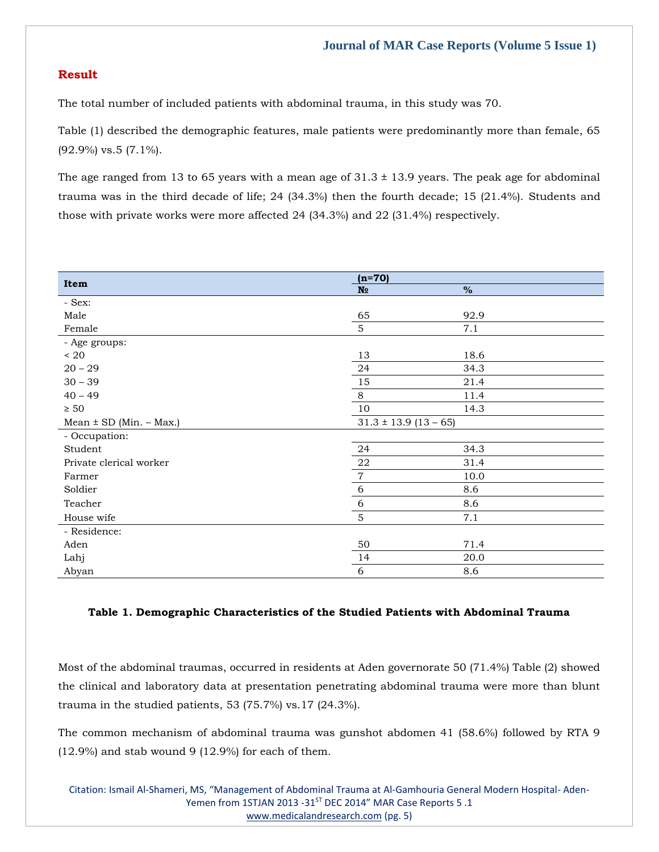# **Result**

The total number of included patients with abdominal trauma, in this study was 70.

Table (1) described the demographic features, male patients were predominantly more than female, 65 (92.9%) vs.5 (7.1%).

The age ranged from 13 to 65 years with a mean age of  $31.3 \pm 13.9$  years. The peak age for abdominal trauma was in the third decade of life; 24 (34.3%) then the fourth decade; 15 (21.4%). Students and those with private works were more affected 24 (34.3%) and 22 (31.4%) respectively.

|                             | $(n=70)$                  |      |
|-----------------------------|---------------------------|------|
| Item                        | N <sub>2</sub>            | $\%$ |
| - Sex:                      |                           |      |
| Male                        | 65                        | 92.9 |
| Female                      | $\overline{5}$            | 7.1  |
| - Age groups:               |                           |      |
| $\leq 20$                   | 13                        | 18.6 |
| $20 - 29$                   | 24                        | 34.3 |
| $30 - 39$                   | 15                        | 21.4 |
| $40 - 49$                   | 8                         | 11.4 |
| $\geq 50$                   | 10                        | 14.3 |
| Mean $\pm$ SD (Min. - Max.) | $31.3 \pm 13.9$ (13 – 65) |      |
| - Occupation:               |                           |      |
| Student                     | 24                        | 34.3 |
| Private clerical worker     | ${\bf 22}$                | 31.4 |
| Farmer                      | $\,7$                     | 10.0 |
| Soldier                     | $\sqrt{6}$                | 8.6  |
| Teacher                     | $\sqrt{6}$                | 8.6  |
| House wife                  | $\overline{5}$            | 7.1  |
| - Residence:                |                           |      |
| Aden                        | 50                        | 71.4 |
| Lahj                        | 14                        | 20.0 |
| Abyan                       | 6                         | 8.6  |

#### **Table 1. Demographic Characteristics of the Studied Patients with Abdominal Trauma**

Most of the abdominal traumas, occurred in residents at Aden governorate 50 (71.4%) Table (2) showed the clinical and laboratory data at presentation penetrating abdominal trauma were more than blunt trauma in the studied patients, 53 (75.7%) vs.17 (24.3%).

The common mechanism of abdominal trauma was gunshot abdomen 41 (58.6%) followed by RTA 9  $(12.9\%)$  and stab wound 9  $(12.9\%)$  for each of them.

Citation: Ismail Al-Shameri, MS, "Management of Abdominal Trauma at Al-Gamhouria General Modern Hospital- Aden-Yemen from 1STJAN 2013 -31<sup>ST</sup> DEC 2014" MAR Case Reports 5 .1 [www.medicalandresearch.com](http://www.medicalandresearch.com/) (pg. 5)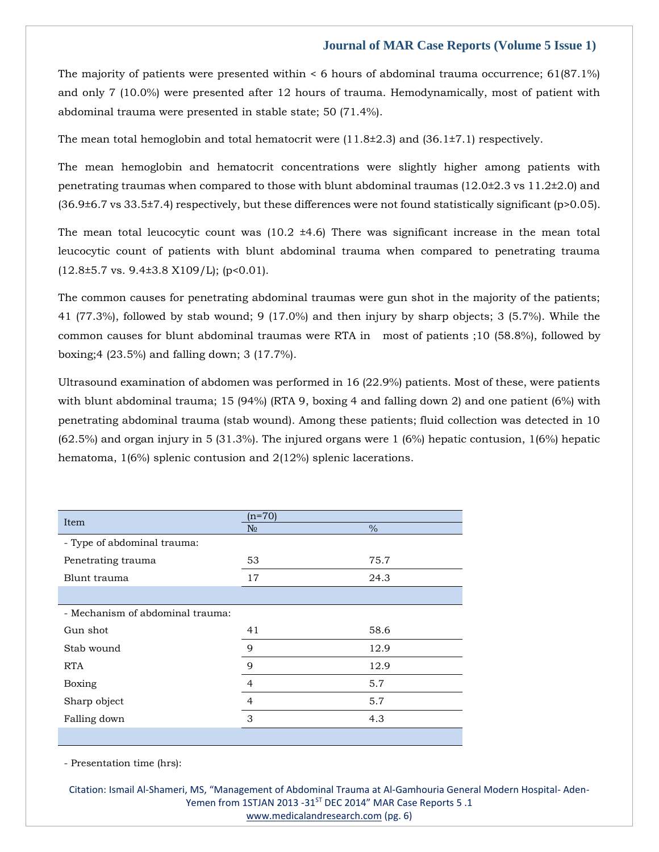The majority of patients were presented within < 6 hours of abdominal trauma occurrence; 61(87.1%) and only 7 (10.0%) were presented after 12 hours of trauma. Hemodynamically, most of patient with abdominal trauma were presented in stable state; 50 (71.4%).

The mean total hemoglobin and total hematocrit were  $(11.8\pm 2.3)$  and  $(36.1\pm 7.1)$  respectively.

The mean hemoglobin and hematocrit concentrations were slightly higher among patients with penetrating traumas when compared to those with blunt abdominal traumas  $(12.0\pm 2.3 \text{ vs } 11.2\pm 2.0)$  and (36.9±6.7 vs 33.5±7.4) respectively, but these differences were not found statistically significant (p>0.05).

The mean total leucocytic count was  $(10.2 \pm 4.6)$  There was significant increase in the mean total leucocytic count of patients with blunt abdominal trauma when compared to penetrating trauma  $(12.8\pm5.7 \text{ vs. } 9.4\pm3.8 \text{ X}109/\text{L})$ ; (p<0.01).

The common causes for penetrating abdominal traumas were gun shot in the majority of the patients; 41 (77.3%), followed by stab wound; 9 (17.0%) and then injury by sharp objects; 3 (5.7%). While the common causes for blunt abdominal traumas were RTA in most of patients ;10 (58.8%), followed by boxing;4 (23.5%) and falling down; 3 (17.7%).

Ultrasound examination of abdomen was performed in 16 (22.9%) patients. Most of these, were patients with blunt abdominal trauma; 15 (94%) (RTA 9, boxing 4 and falling down 2) and one patient (6%) with penetrating abdominal trauma (stab wound). Among these patients; fluid collection was detected in 10 (62.5%) and organ injury in 5 (31.3%). The injured organs were 1 (6%) hepatic contusion, 1(6%) hepatic hematoma, 1(6%) splenic contusion and 2(12%) splenic lacerations.

| Item                             | $(n=70)$       |      |  |
|----------------------------------|----------------|------|--|
|                                  | N <sub>0</sub> | $\%$ |  |
| - Type of abdominal trauma:      |                |      |  |
| Penetrating trauma               | 53             | 75.7 |  |
| Blunt trauma                     | 17             | 24.3 |  |
|                                  |                |      |  |
| - Mechanism of abdominal trauma: |                |      |  |
| Gun shot                         | 41             | 58.6 |  |
| Stab wound                       | 9              | 12.9 |  |
| <b>RTA</b>                       | 9              | 12.9 |  |
| Boxing                           | $\overline{4}$ | 5.7  |  |
| Sharp object                     | $\overline{4}$ | 5.7  |  |
| Falling down                     | 3              | 4.3  |  |
|                                  |                |      |  |

- Presentation time (hrs):

Citation: Ismail Al-Shameri, MS, "Management of Abdominal Trauma at Al-Gamhouria General Modern Hospital- Aden-Yemen from 1STJAN 2013 -31<sup>ST</sup> DEC 2014" MAR Case Reports 5 .1 [www.medicalandresearch.com](http://www.medicalandresearch.com/) (pg. 6)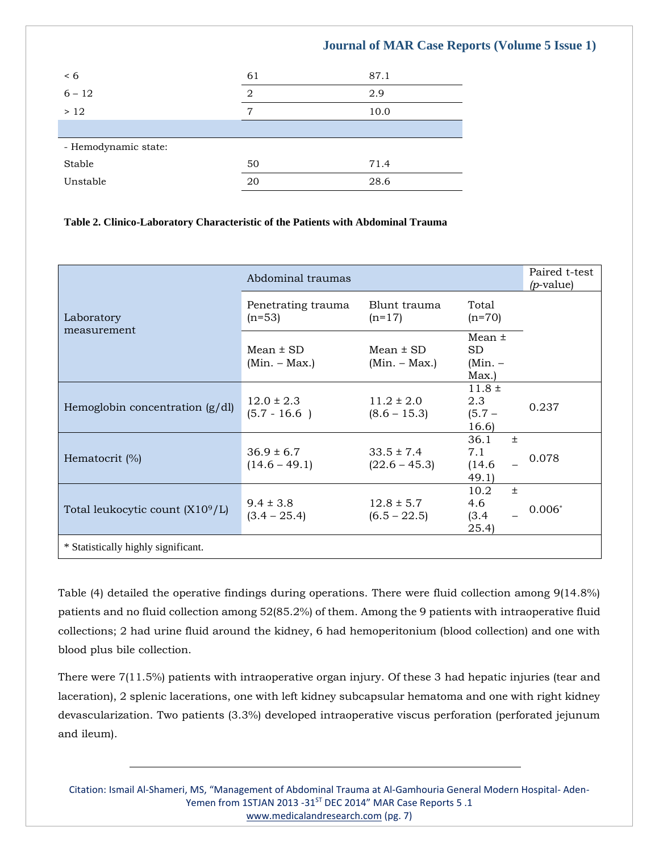| < 6                  | 61 | 87.1 |  |  |
|----------------------|----|------|--|--|
| $6 - 12$             | 2  | 2.9  |  |  |
| >12                  | 7  | 10.0 |  |  |
|                      |    |      |  |  |
| - Hemodynamic state: |    |      |  |  |
| Stable               | 50 | 71.4 |  |  |
| Unstable             | 20 | 28.6 |  |  |

#### **Table 2. Clinico-Laboratory Characteristic of the Patients with Abdominal Trauma**

|                                              | Abdominal traumas                 |                                   |                                        | Paired t-test<br>$(p$ -value) |
|----------------------------------------------|-----------------------------------|-----------------------------------|----------------------------------------|-------------------------------|
| Laboratory<br>measurement                    | Penetrating trauma<br>$(n=53)$    | Blunt trauma<br>$(n=17)$          | Total<br>$(n=70)$                      |                               |
|                                              | $Mean \pm SD$<br>$(Min. - Max.)$  | Mean $\pm$ SD<br>$(Min. - Max.)$  | Mean $\pm$<br>SD<br>(Min. –<br>Max.)   |                               |
| Hemoglobin concentration $(g/dl)$            | $12.0 \pm 2.3$<br>$(5.7 - 16.6)$  | $11.2 \pm 2.0$<br>$(8.6 - 15.3)$  | $11.8 \pm$<br>2.3<br>$(5.7 -$<br>16.6  | 0.237                         |
| Hematocrit (%)                               | $36.9 \pm 6.7$<br>$(14.6 - 49.1)$ | $33.5 \pm 7.4$<br>$(22.6 - 45.3)$ | 36.1<br>$\pm$<br>7.1<br>(14.6)<br>49.1 | 0.078                         |
| Total leukocytic count (X10 <sup>9</sup> /L) | $9.4 \pm 3.8$<br>$(3.4 - 25.4)$   | $12.8 \pm 5.7$<br>$(6.5 - 22.5)$  | 10.2<br>$+$<br>4.6<br>(3.4)<br>(25.4)  | $0.006*$                      |
| * Statistically highly significant.          |                                   |                                   |                                        |                               |

Table (4) detailed the operative findings during operations. There were fluid collection among 9(14.8%) patients and no fluid collection among 52(85.2%) of them. Among the 9 patients with intraoperative fluid collections; 2 had urine fluid around the kidney, 6 had hemoperitonium (blood collection) and one with blood plus bile collection.

There were 7(11.5%) patients with intraoperative organ injury. Of these 3 had hepatic injuries (tear and laceration), 2 splenic lacerations, one with left kidney subcapsular hematoma and one with right kidney devascularization. Two patients (3.3%) developed intraoperative viscus perforation (perforated jejunum and ileum).

Citation: Ismail Al-Shameri, MS, "Management of Abdominal Trauma at Al-Gamhouria General Modern Hospital- Aden-Yemen from 1STJAN 2013 -31<sup>ST</sup> DEC 2014" MAR Case Reports 5 .1 [www.medicalandresearch.com](http://www.medicalandresearch.com/) (pg. 7)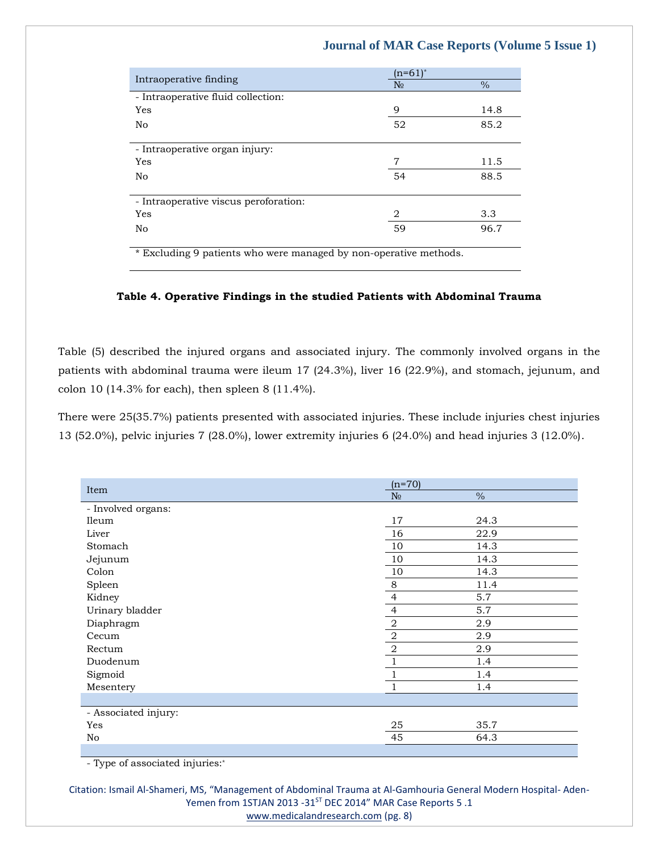| Intraoperative finding                | $(n=61)^{*}$   |      |
|---------------------------------------|----------------|------|
|                                       | N <sub>2</sub> | $\%$ |
| - Intraoperative fluid collection:    |                |      |
| Yes                                   | 9              | 14.8 |
| No                                    | 52             | 85.2 |
|                                       |                |      |
| - Intraoperative organ injury:        |                |      |
| Yes                                   | 7              | 11.5 |
| No                                    | 54             | 88.5 |
|                                       |                |      |
| - Intraoperative viscus peroforation: |                |      |
| Yes                                   | 2              | 3.3  |
| No                                    | 59             | 96.7 |
|                                       |                |      |

\* Excluding 9 patients who were managed by non-operative methods.

#### **Table 4. Operative Findings in the studied Patients with Abdominal Trauma**

Table (5) described the injured organs and associated injury. The commonly involved organs in the patients with abdominal trauma were ileum 17 (24.3%), liver 16 (22.9%), and stomach, jejunum, and colon 10 (14.3% for each), then spleen 8 (11.4%).

There were 25(35.7%) patients presented with associated injuries. These include injuries chest injuries 13 (52.0%), pelvic injuries 7 (28.0%), lower extremity injuries 6 (24.0%) and head injuries 3 (12.0%).

| Item                 | $(n=70)$       |               |  |
|----------------------|----------------|---------------|--|
|                      | N <sub>0</sub> | $\frac{0}{0}$ |  |
| - Involved organs:   |                |               |  |
| Ileum                | 17             | 24.3          |  |
| Liver                | 16             | 22.9          |  |
| Stomach              | 10             | 14.3          |  |
| Jejunum              | 10             | 14.3          |  |
| Colon                | 10             | 14.3          |  |
| Spleen               | $\,8\,$        | 11.4          |  |
| Kidney               | $\overline{4}$ | 5.7           |  |
| Urinary bladder      | $\overline{4}$ | 5.7           |  |
| Diaphragm            | $\,2$          | 2.9           |  |
| Cecum                | $\sqrt{2}$     | 2.9           |  |
| Rectum               | $\sqrt{2}$     | 2.9           |  |
| Duodenum             | $\mathbf{1}$   | 1.4           |  |
| Sigmoid              |                | 1.4           |  |
| Mesentery            | 1              | 1.4           |  |
|                      |                |               |  |
| - Associated injury: |                |               |  |
| Yes                  | 25             | 35.7          |  |
| No                   | 45             | 64.3          |  |
|                      |                |               |  |

- Type of associated injuries:\*

Citation: Ismail Al-Shameri, MS, "Management of Abdominal Trauma at Al-Gamhouria General Modern Hospital- Aden-Yemen from 1STJAN 2013 -31ST DEC 2014" MAR Case Reports 5 .1

[www.medicalandresearch.com](http://www.medicalandresearch.com/) (pg. 8)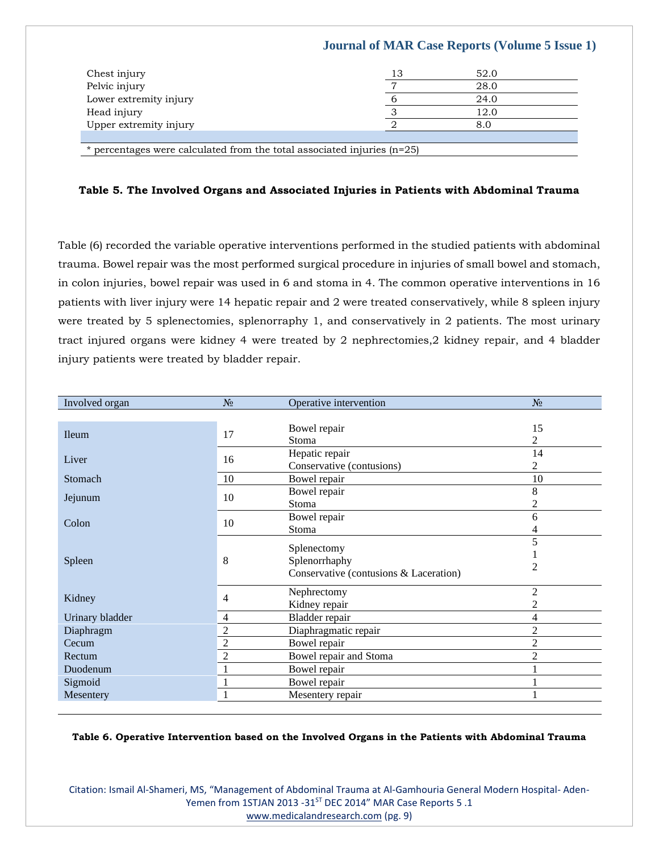| Chest injury           | 13 | 52.0 |
|------------------------|----|------|
| Pelvic injury          | −  | 28.0 |
| Lower extremity injury |    | 24.0 |
| Head injury            |    | 12.0 |
| Upper extremity injury |    | 8.0  |
|                        |    |      |

\* percentages were calculated from the total associated injuries (n=25)

#### **Table 5. The Involved Organs and Associated Injuries in Patients with Abdominal Trauma**

Table (6) recorded the variable operative interventions performed in the studied patients with abdominal trauma. Bowel repair was the most performed surgical procedure in injuries of small bowel and stomach, in colon injuries, bowel repair was used in 6 and stoma in 4. The common operative interventions in 16 patients with liver injury were 14 hepatic repair and 2 were treated conservatively, while 8 spleen injury were treated by 5 splenectomies, splenorraphy 1, and conservatively in 2 patients. The most urinary tract injured organs were kidney 4 were treated by 2 nephrectomies,2 kidney repair, and 4 bladder injury patients were treated by bladder repair.

| Involved organ  | $N_2$          | Operative intervention                 | $N_2$          |
|-----------------|----------------|----------------------------------------|----------------|
|                 |                |                                        |                |
| <b>Ileum</b>    | 17             | Bowel repair                           | 15             |
|                 |                | Stoma                                  | 2              |
| Liver           | 16             | Hepatic repair                         | 14             |
|                 |                | Conservative (contusions)              | 2              |
| Stomach         | 10             | Bowel repair                           | 10             |
|                 | 10             | Bowel repair                           | 8              |
| Jejunum         |                | Stoma                                  | 2              |
| Colon           | 10             | Bowel repair                           | 6              |
|                 |                | Stoma                                  |                |
|                 |                |                                        | 5              |
|                 | 8              | Splenectomy<br>Splenorrhaphy           |                |
| Spleen          |                | Conservative (contusions & Laceration) | 2              |
|                 |                |                                        |                |
| Kidney          | 4              | Nephrectomy                            | $\overline{2}$ |
|                 |                | Kidney repair                          | 2              |
| Urinary bladder | 4              | Bladder repair                         | 4              |
| Diaphragm       | 2              | Diaphragmatic repair                   | $\overline{2}$ |
| Cecum           | $\overline{2}$ | Bowel repair                           | $\overline{2}$ |
| Rectum          | 2              | Bowel repair and Stoma                 | $\overline{c}$ |
| Duodenum        | 1              | Bowel repair                           |                |
| Sigmoid         | 1              | Bowel repair                           |                |
| Mesentery       | 1              | Mesentery repair                       |                |

#### **Table 6. Operative Intervention based on the Involved Organs in the Patients with Abdominal Trauma**

Citation: Ismail Al-Shameri, MS, "Management of Abdominal Trauma at Al-Gamhouria General Modern Hospital- Aden-Yemen from 1STJAN 2013 -31<sup>ST</sup> DEC 2014" MAR Case Reports 5 .1 [www.medicalandresearch.com](http://www.medicalandresearch.com/) (pg. 9)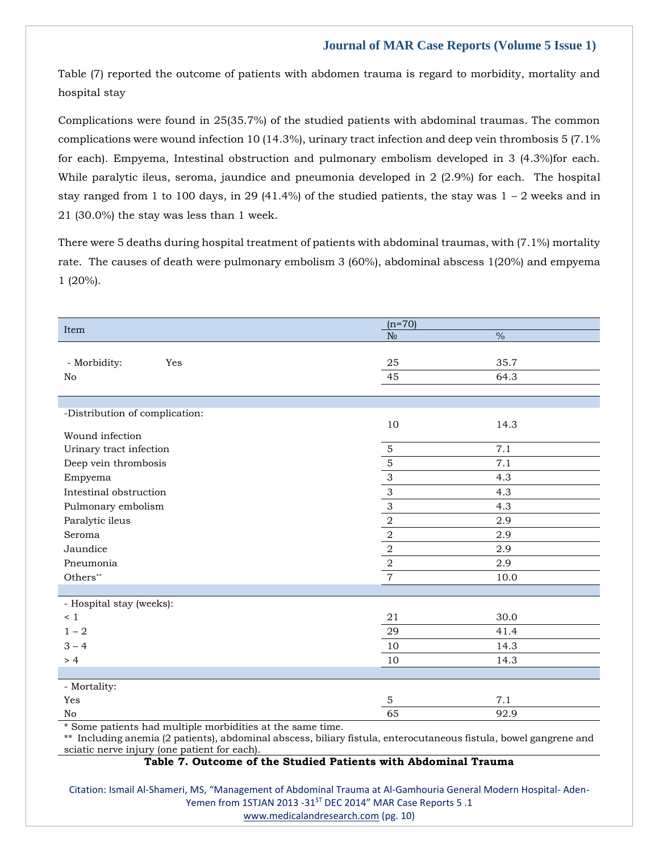Table (7) reported the outcome of patients with abdomen trauma is regard to morbidity, mortality and hospital stay

Complications were found in 25(35.7%) of the studied patients with abdominal traumas. The common complications were wound infection 10 (14.3%), urinary tract infection and deep vein thrombosis 5 (7.1% for each). Empyema, Intestinal obstruction and pulmonary embolism developed in 3 (4.3%)for each. While paralytic ileus, seroma, jaundice and pneumonia developed in 2 (2.9%) for each. The hospital stay ranged from 1 to 100 days, in 29 (41.4%) of the studied patients, the stay was  $1 - 2$  weeks and in 21 (30.0%) the stay was less than 1 week.

There were 5 deaths during hospital treatment of patients with abdominal traumas, with (7.1%) mortality rate. The causes of death were pulmonary embolism 3 (60%), abdominal abscess 1(20%) and empyema 1 (20%).

| Item                           | $(n=70)$                  |               |
|--------------------------------|---------------------------|---------------|
|                                | $N_{\!\Omega}$            | $\frac{0}{6}$ |
|                                |                           |               |
| - Morbidity:<br>Yes            | 25                        | 35.7          |
| No                             | 45                        | 64.3          |
|                                |                           |               |
|                                |                           |               |
| -Distribution of complication: | 10                        | 14.3          |
| Wound infection                |                           |               |
| Urinary tract infection        | $\mathbf 5$               | 7.1           |
| Deep vein thrombosis           | $\mathbf 5$               | 7.1           |
| Empyema                        | $\ensuremath{\mathsf{3}}$ | 4.3           |
| Intestinal obstruction         | $\ensuremath{\mathsf{3}}$ | 4.3           |
| Pulmonary embolism             | $\mathfrak{S}$            | 4.3           |
| Paralytic ileus                | $\,2\,$                   | 2.9           |
| Seroma                         | $\,2\,$                   | 2.9           |
| Jaundice                       | $\sqrt{2}$                | 2.9           |
| Pneumonia                      | $\overline{2}$            | 2.9           |
| Others**                       | $\overline{7}$            | 10.0          |
|                                |                           |               |
| - Hospital stay (weeks):       |                           |               |
| $\leq 1$                       | 21                        | 30.0          |
| $1 - 2$                        | 29                        | 41.4          |
| $3 - 4$                        | 10                        | 14.3          |
| > 4                            | 10                        | 14.3          |
|                                |                           |               |
| - Mortality:                   |                           |               |
| Yes                            | 5                         | 7.1           |
| No                             | 65                        | 92.9          |

\* Some patients had multiple morbidities at the same time.

\*\* Including anemia (2 patients), abdominal abscess, biliary fistula, enterocutaneous fistula, bowel gangrene and sciatic nerve injury (one patient for each).

#### **Table 7. Outcome of the Studied Patients with Abdominal Trauma**

Citation: Ismail Al-Shameri, MS, "Management of Abdominal Trauma at Al-Gamhouria General Modern Hospital- Aden-Yemen from 1STJAN 2013 -31<sup>ST</sup> DEC 2014" MAR Case Reports 5 .1

[www.medicalandresearch.com](http://www.medicalandresearch.com/) (pg. 10)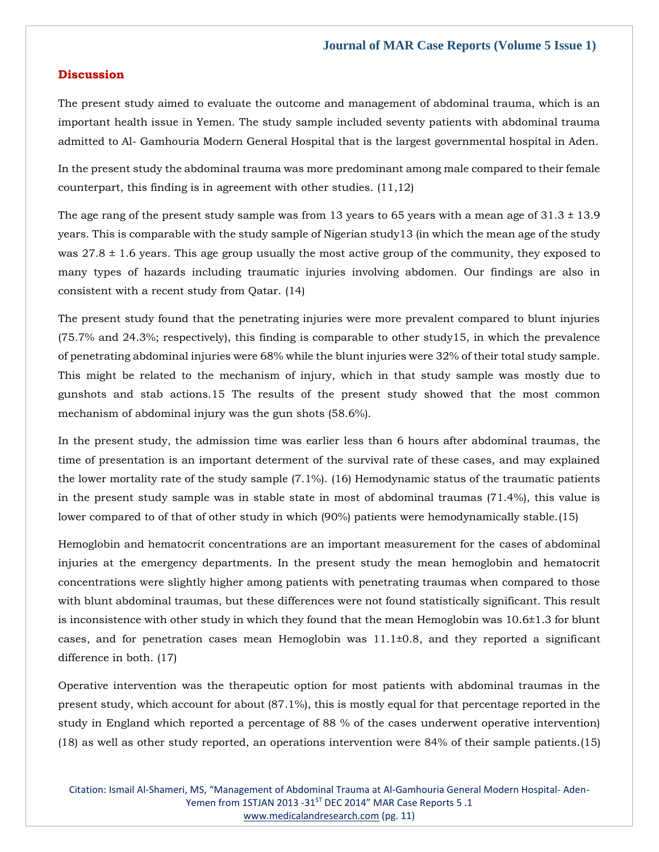#### **Discussion**

The present study aimed to evaluate the outcome and management of abdominal trauma, which is an important health issue in Yemen. The study sample included seventy patients with abdominal trauma admitted to Al- Gamhouria Modern General Hospital that is the largest governmental hospital in Aden.

In the present study the abdominal trauma was more predominant among male compared to their female counterpart, this finding is in agreement with other studies. (11,12)

The age rang of the present study sample was from 13 years to 65 years with a mean age of  $31.3 \pm 13.9$ years. This is comparable with the study sample of Nigerian study13 (in which the mean age of the study was  $27.8 \pm 1.6$  years. This age group usually the most active group of the community, they exposed to many types of hazards including traumatic injuries involving abdomen. Our findings are also in consistent with a recent study from Qatar. (14)

The present study found that the penetrating injuries were more prevalent compared to blunt injuries (75.7% and 24.3%; respectively), this finding is comparable to other study15, in which the prevalence of penetrating abdominal injuries were 68% while the blunt injuries were 32% of their total study sample. This might be related to the mechanism of injury, which in that study sample was mostly due to gunshots and stab actions.15 The results of the present study showed that the most common mechanism of abdominal injury was the gun shots (58.6%).

In the present study, the admission time was earlier less than 6 hours after abdominal traumas, the time of presentation is an important determent of the survival rate of these cases, and may explained the lower mortality rate of the study sample (7.1%). (16) Hemodynamic status of the traumatic patients in the present study sample was in stable state in most of abdominal traumas (71.4%), this value is lower compared to of that of other study in which (90%) patients were hemodynamically stable.(15)

Hemoglobin and hematocrit concentrations are an important measurement for the cases of abdominal injuries at the emergency departments. In the present study the mean hemoglobin and hematocrit concentrations were slightly higher among patients with penetrating traumas when compared to those with blunt abdominal traumas, but these differences were not found statistically significant. This result is inconsistence with other study in which they found that the mean Hemoglobin was 10.6±1.3 for blunt cases, and for penetration cases mean Hemoglobin was 11.1±0.8, and they reported a significant difference in both. (17)

Operative intervention was the therapeutic option for most patients with abdominal traumas in the present study, which account for about (87.1%), this is mostly equal for that percentage reported in the study in England which reported a percentage of 88 % of the cases underwent operative intervention) (18) as well as other study reported, an operations intervention were 84% of their sample patients.(15)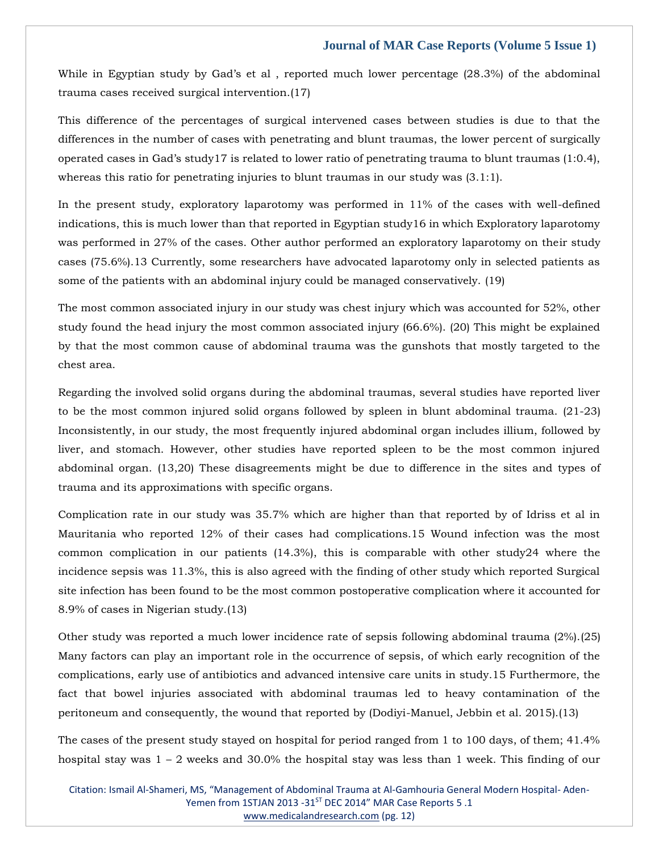While in Egyptian study by Gad's et al , reported much lower percentage (28.3%) of the abdominal trauma cases received surgical intervention.(17)

This difference of the percentages of surgical intervened cases between studies is due to that the differences in the number of cases with penetrating and blunt traumas, the lower percent of surgically operated cases in Gad's study17 is related to lower ratio of penetrating trauma to blunt traumas (1:0.4), whereas this ratio for penetrating injuries to blunt traumas in our study was  $(3.1:1)$ .

In the present study, exploratory laparotomy was performed in 11% of the cases with well-defined indications, this is much lower than that reported in Egyptian study16 in which Exploratory laparotomy was performed in 27% of the cases. Other author performed an exploratory laparotomy on their study cases (75.6%).13 Currently, some researchers have advocated laparotomy only in selected patients as some of the patients with an abdominal injury could be managed conservatively. (19)

The most common associated injury in our study was chest injury which was accounted for 52%, other study found the head injury the most common associated injury (66.6%). (20) This might be explained by that the most common cause of abdominal trauma was the gunshots that mostly targeted to the chest area.

Regarding the involved solid organs during the abdominal traumas, several studies have reported liver to be the most common injured solid organs followed by spleen in blunt abdominal trauma. (21-23) Inconsistently, in our study, the most frequently injured abdominal organ includes illium, followed by liver, and stomach. However, other studies have reported spleen to be the most common injured abdominal organ. (13,20) These disagreements might be due to difference in the sites and types of trauma and its approximations with specific organs.

Complication rate in our study was 35.7% which are higher than that reported by of Idriss et al in Mauritania who reported 12% of their cases had complications.15 Wound infection was the most common complication in our patients (14.3%), this is comparable with other study24 where the incidence sepsis was 11.3%, this is also agreed with the finding of other study which reported Surgical site infection has been found to be the most common postoperative complication where it accounted for 8.9% of cases in Nigerian study.(13)

Other study was reported a much lower incidence rate of sepsis following abdominal trauma (2%).(25) Many factors can play an important role in the occurrence of sepsis, of which early recognition of the complications, early use of antibiotics and advanced intensive care units in study.15 Furthermore, the fact that bowel injuries associated with abdominal traumas led to heavy contamination of the peritoneum and consequently, the wound that reported by (Dodiyi-Manuel, Jebbin et al. 2015).(13)

The cases of the present study stayed on hospital for period ranged from 1 to 100 days, of them; 41.4% hospital stay was  $1 - 2$  weeks and 30.0% the hospital stay was less than 1 week. This finding of our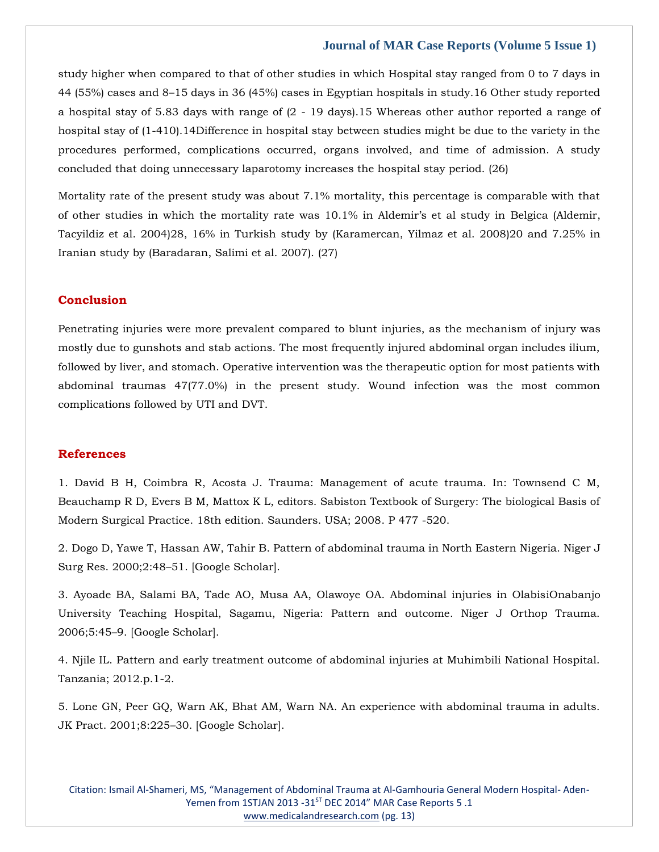study higher when compared to that of other studies in which Hospital stay ranged from 0 to 7 days in 44 (55%) cases and 8–15 days in 36 (45%) cases in Egyptian hospitals in study.16 Other study reported a hospital stay of 5.83 days with range of (2 - 19 days).15 Whereas other author reported a range of hospital stay of (1-410).14Difference in hospital stay between studies might be due to the variety in the procedures performed, complications occurred, organs involved, and time of admission. A study concluded that doing unnecessary laparotomy increases the hospital stay period. (26)

Mortality rate of the present study was about 7.1% mortality, this percentage is comparable with that of other studies in which the mortality rate was 10.1% in Aldemir's et al study in Belgica (Aldemir, Tacyildiz et al. 2004)28, 16% in Turkish study by (Karamercan, Yilmaz et al. 2008)20 and 7.25% in Iranian study by (Baradaran, Salimi et al. 2007). (27)

#### **Conclusion**

Penetrating injuries were more prevalent compared to blunt injuries, as the mechanism of injury was mostly due to gunshots and stab actions. The most frequently injured abdominal organ includes ilium, followed by liver, and stomach. Operative intervention was the therapeutic option for most patients with abdominal traumas 47(77.0%) in the present study. Wound infection was the most common complications followed by UTI and DVT.

#### **References**

[1. David B H, Coimbra R, Acosta J. Trauma: Management of acute trauma. In: Townsend C M,](https://www.google.com/search?q=Sabiston+Textbook+of+Surgery%3A+The+biological+Basis+of+Modern+Surgical+Practice.&oq=Sabiston+Textbook+of+Surgery%3A+The+biological+Basis+of+Modern+Surgical+Practice.&aqs=chrome..69i57.517j0j7&sourceid=chrome&ie=UTF-8)  [Beauchamp R D, Evers B M, Mattox K L, editors. Sabiston Textbook of Surgery: The biological Basis of](https://www.google.com/search?q=Sabiston+Textbook+of+Surgery%3A+The+biological+Basis+of+Modern+Surgical+Practice.&oq=Sabiston+Textbook+of+Surgery%3A+The+biological+Basis+of+Modern+Surgical+Practice.&aqs=chrome..69i57.517j0j7&sourceid=chrome&ie=UTF-8)  [Modern Surgical Practice. 18th edition. Saunders. USA; 2008. P 477 -520.](https://www.google.com/search?q=Sabiston+Textbook+of+Surgery%3A+The+biological+Basis+of+Modern+Surgical+Practice.&oq=Sabiston+Textbook+of+Surgery%3A+The+biological+Basis+of+Modern+Surgical+Practice.&aqs=chrome..69i57.517j0j7&sourceid=chrome&ie=UTF-8)

[2. Dogo D, Yawe T, Hassan AW, Tahir B. Pattern of abdominal trauma in North Eastern Nigeria. Niger J](https://www.google.com/search?q=Pattern+of+abdominal+trauma+in+North+Eastern+Nigeria&sxsrf=APq-WBtSqoCrnTeOu5p1OltXJmIzeTt3Gg%3A1648014290901&ei=0rM6Yq7NNoOZseMPl6u_kAs&ved=0ahUKEwiu_pLTw9v2AhWDTGwGHZfVD7IQ4dUDCA4&oq=Pattern+of+abdominal+trauma+in+North+Eastern+Nigeria&gs_lcp=Cgdnd3Mtd2l6EAw6BwgjEOoCECdKBAhBGABKBAhGGABQGFgYYLgJaAFwAXgAgAGLAYgBiwGSAQMwLjGYAQCgAQGgAQKwAQrAAQE&sclient=gws-wiz)  Surg Res. 2000;2:48–[51. \[Google Scholar\].](https://www.google.com/search?q=Pattern+of+abdominal+trauma+in+North+Eastern+Nigeria&sxsrf=APq-WBtSqoCrnTeOu5p1OltXJmIzeTt3Gg%3A1648014290901&ei=0rM6Yq7NNoOZseMPl6u_kAs&ved=0ahUKEwiu_pLTw9v2AhWDTGwGHZfVD7IQ4dUDCA4&oq=Pattern+of+abdominal+trauma+in+North+Eastern+Nigeria&gs_lcp=Cgdnd3Mtd2l6EAw6BwgjEOoCECdKBAhBGABKBAhGGABQGFgYYLgJaAFwAXgAgAGLAYgBiwGSAQMwLjGYAQCgAQGgAQKwAQrAAQE&sclient=gws-wiz)

[3. Ayoade BA, Salami BA, Tade AO, Musa AA, Olawoye OA. Abdominal injuries in OlabisiOnabanjo](https://www.google.com/search?q=Abdominal+injuries+in+OlabisiOnabanjo+University+Teaching+Hospital%2C+Sagamu%2C+Nigeria%3A+Pattern+and+outcome.&sxsrf=APq-WBujyNdNozly4HtJaRb_2BKTVvH9iA%3A1648014307440&ei=47M6YtmpGrWYseMPs_iZyAY&ved=0ahUKEwiZp4Tbw9v2AhU1TGwGHTN8BmkQ4dUDCA4&oq=Abdominal+injuries+in+OlabisiOnabanjo+University+Teaching+Hospital%2C+Sagamu%2C+Nigeria%3A+Pattern+and+outcome.&gs_lcp=Cgdnd3Mtd2l6EAwyBwgjEOoCECcyBwgjEOoCECcyBwgjEOoCECcyBwgjEOoCECcyBwgjEOoCECcyBwgjEOoCECcyBwgjEOoCECcyBwgjEOoCECcyBwgjEOoCECcyBwgjEOoCECdKBAhBGABKBAhGGABQPFg8YPUHaAFwAHgAgAEAiAEAkgEAmAEAoAEBoAECsAEKwAEB&sclient=gws-wiz)  [University Teaching Hospital, Sagamu, Nigeria: Pattern and outcome. Niger J Orthop Trauma.](https://www.google.com/search?q=Abdominal+injuries+in+OlabisiOnabanjo+University+Teaching+Hospital%2C+Sagamu%2C+Nigeria%3A+Pattern+and+outcome.&sxsrf=APq-WBujyNdNozly4HtJaRb_2BKTVvH9iA%3A1648014307440&ei=47M6YtmpGrWYseMPs_iZyAY&ved=0ahUKEwiZp4Tbw9v2AhU1TGwGHTN8BmkQ4dUDCA4&oq=Abdominal+injuries+in+OlabisiOnabanjo+University+Teaching+Hospital%2C+Sagamu%2C+Nigeria%3A+Pattern+and+outcome.&gs_lcp=Cgdnd3Mtd2l6EAwyBwgjEOoCECcyBwgjEOoCECcyBwgjEOoCECcyBwgjEOoCECcyBwgjEOoCECcyBwgjEOoCECcyBwgjEOoCECcyBwgjEOoCECcyBwgjEOoCECcyBwgjEOoCECdKBAhBGABKBAhGGABQPFg8YPUHaAFwAHgAgAEAiAEAkgEAmAEAoAEBoAECsAEKwAEB&sclient=gws-wiz)  2006;5:45–[9. \[Google Scholar\].](https://www.google.com/search?q=Abdominal+injuries+in+OlabisiOnabanjo+University+Teaching+Hospital%2C+Sagamu%2C+Nigeria%3A+Pattern+and+outcome.&sxsrf=APq-WBujyNdNozly4HtJaRb_2BKTVvH9iA%3A1648014307440&ei=47M6YtmpGrWYseMPs_iZyAY&ved=0ahUKEwiZp4Tbw9v2AhU1TGwGHTN8BmkQ4dUDCA4&oq=Abdominal+injuries+in+OlabisiOnabanjo+University+Teaching+Hospital%2C+Sagamu%2C+Nigeria%3A+Pattern+and+outcome.&gs_lcp=Cgdnd3Mtd2l6EAwyBwgjEOoCECcyBwgjEOoCECcyBwgjEOoCECcyBwgjEOoCECcyBwgjEOoCECcyBwgjEOoCECcyBwgjEOoCECcyBwgjEOoCECcyBwgjEOoCECcyBwgjEOoCECdKBAhBGABKBAhGGABQPFg8YPUHaAFwAHgAgAEAiAEAkgEAmAEAoAEBoAECsAEKwAEB&sclient=gws-wiz)

[4. Njile IL. Pattern and early treatment outcome of abdominal injuries at Muhimbili National Hospital.](https://www.google.com/search?q=Pattern+and+early+treatment+outcome+of+abdominal+injuries+at+Muhimbili+National+Hospital.+&sxsrf=APq-WBtmRw2UmJxxtONayWq4v_S37h8x7Q%3A1648014329687&ei=-bM6YrPNKZqUseMPreKZoAc&ved=0ahUKEwjzrdLlw9v2AhUaSmwGHS1xBnQQ4dUDCA4&oq=Pattern+and+early+treatment+outcome+of+abdominal+injuries+at+Muhimbili+National+Hospital.+&gs_lcp=Cgdnd3Mtd2l6EAw6BwgjEOoCECdKBAhBGABKBAhGGABQTFhMYMUIaAFwAHgAgAFiiAFikgEBMZgBAKABAaABArABCsABAQ&sclient=gws-wiz)  [Tanzania; 2012.p.1-2.](https://www.google.com/search?q=Pattern+and+early+treatment+outcome+of+abdominal+injuries+at+Muhimbili+National+Hospital.+&sxsrf=APq-WBtmRw2UmJxxtONayWq4v_S37h8x7Q%3A1648014329687&ei=-bM6YrPNKZqUseMPreKZoAc&ved=0ahUKEwjzrdLlw9v2AhUaSmwGHS1xBnQQ4dUDCA4&oq=Pattern+and+early+treatment+outcome+of+abdominal+injuries+at+Muhimbili+National+Hospital.+&gs_lcp=Cgdnd3Mtd2l6EAw6BwgjEOoCECdKBAhBGABKBAhGGABQTFhMYMUIaAFwAHgAgAFiiAFikgEBMZgBAKABAaABArABCsABAQ&sclient=gws-wiz)

[5. Lone GN, Peer GQ, Warn AK, Bhat AM, Warn NA. An experience with abdominal trauma in adults.](https://www.google.com/search?q=An+experience+with+abdominal+trauma+in+adults&sxsrf=APq-WBtnRNn8z9O72wJddrt-QkonGy5qEg%3A1648014343157&ei=B7Q6YoCcCeKSseMP3MqY0Ag&ved=0ahUKEwjAu4jsw9v2AhViSWwGHVwlBooQ4dUDCA4&oq=An+experience+with+abdominal+trauma+in+adults&gs_lcp=Cgdnd3Mtd2l6EAwyBQghEKABOgcIIxDqAhAnSgQIQRgASgQIRhgAUMABWMABYIUJaAFwAHgAgAGCAYgBggGSAQMwLjGYAQCgAQGgAQKwAQrAAQE&sclient=gws-wiz)  [JK Pract. 2001;8:225](https://www.google.com/search?q=An+experience+with+abdominal+trauma+in+adults&sxsrf=APq-WBtnRNn8z9O72wJddrt-QkonGy5qEg%3A1648014343157&ei=B7Q6YoCcCeKSseMP3MqY0Ag&ved=0ahUKEwjAu4jsw9v2AhViSWwGHVwlBooQ4dUDCA4&oq=An+experience+with+abdominal+trauma+in+adults&gs_lcp=Cgdnd3Mtd2l6EAwyBQghEKABOgcIIxDqAhAnSgQIQRgASgQIRhgAUMABWMABYIUJaAFwAHgAgAGCAYgBggGSAQMwLjGYAQCgAQGgAQKwAQrAAQE&sclient=gws-wiz)–30. [Google Scholar].

Citation: Ismail Al-Shameri, MS, "Management of Abdominal Trauma at Al-Gamhouria General Modern Hospital- Aden-Yemen from 1STJAN 2013 -31<sup>ST</sup> DEC 2014" MAR Case Reports 5 .1 [www.medicalandresearch.com](http://www.medicalandresearch.com/) (pg. 13)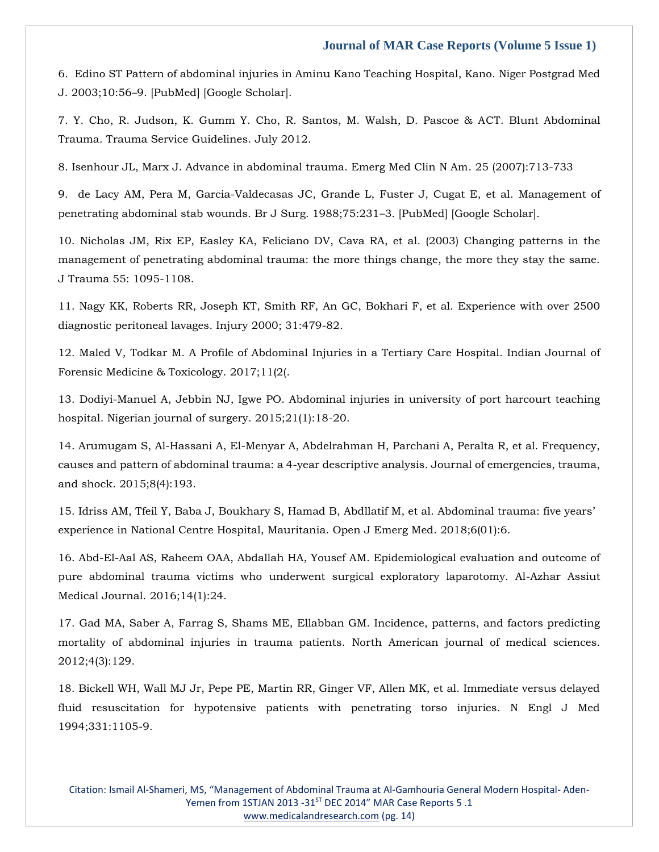[6. Edino ST Pattern of abdominal injuries in Aminu Kano Teaching Hospital, Kano. Niger Postgrad Med](https://www.google.com/search?q=Edino+ST+Pattern+of+abdominal+injuries+in+Aminu+Kano+Teaching+Hospital%2C+Kano&sxsrf=APq-WBvs4DSQRHrPexp9NoWJvyVmA5ZQVw%3A1648014357176&ei=FbQ6Yre0CqKVseMP7KWB2Ac&ved=0ahUKEwj3kuDyw9v2AhWiSmwGHexSAHsQ4dUDCA4&oq=Edino+ST+Pattern+of+abdominal+injuries+in+Aminu+Kano+Teaching+Hospital%2C+Kano&gs_lcp=Cgdnd3Mtd2l6EAw6BwgjEOoCECdKBAhBGABKBAhGGABQIFggYP8FaAFwAXgAgAHCAYgBwgGSAQMwLjGYAQCgAQGgAQKwAQrAAQE&sclient=gws-wiz)  J. 2003;10:56–[9. \[PubMed\] \[Google Scholar\].](https://www.google.com/search?q=Edino+ST+Pattern+of+abdominal+injuries+in+Aminu+Kano+Teaching+Hospital%2C+Kano&sxsrf=APq-WBvs4DSQRHrPexp9NoWJvyVmA5ZQVw%3A1648014357176&ei=FbQ6Yre0CqKVseMP7KWB2Ac&ved=0ahUKEwj3kuDyw9v2AhWiSmwGHexSAHsQ4dUDCA4&oq=Edino+ST+Pattern+of+abdominal+injuries+in+Aminu+Kano+Teaching+Hospital%2C+Kano&gs_lcp=Cgdnd3Mtd2l6EAw6BwgjEOoCECdKBAhBGABKBAhGGABQIFggYP8FaAFwAXgAgAHCAYgBwgGSAQMwLjGYAQCgAQGgAQKwAQrAAQE&sclient=gws-wiz)

[7. Y. Cho, R. Judson, K. Gumm Y. Cho, R. Santos, M. Walsh, D. Pascoe & ACT. Blunt Abdominal](https://www.google.com/search?q=Pascoe+%26+ACT.+Blunt+Abdominal+Trauma.+Trauma+Service+Guidelines.+&sxsrf=APq-WBu63CAXEYVJxKohMsNc0juW8i10Uw%3A1648014386170&ei=MrQ6Yv-MCvKTseMPpYubsAw&ved=0ahUKEwj_7cmAxNv2AhXySWwGHaXFBsYQ4dUDCA4&oq=Pascoe+%26+ACT.+Blunt+Abdominal+Trauma.+Trauma+Service+Guidelines.+&gs_lcp=Cgdnd3Mtd2l6EAw6BwgjEOoCECdKBAhBGABKBAhGGABQ6gFY6gFg6gZoAXAAeACAAZwBiAGcAZIBAzAuMZgBAKABAaABArABCsABAQ&sclient=gws-wiz)  [Trauma. Trauma Service Guidelines. July 2012.](https://www.google.com/search?q=Pascoe+%26+ACT.+Blunt+Abdominal+Trauma.+Trauma+Service+Guidelines.+&sxsrf=APq-WBu63CAXEYVJxKohMsNc0juW8i10Uw%3A1648014386170&ei=MrQ6Yv-MCvKTseMPpYubsAw&ved=0ahUKEwj_7cmAxNv2AhXySWwGHaXFBsYQ4dUDCA4&oq=Pascoe+%26+ACT.+Blunt+Abdominal+Trauma.+Trauma+Service+Guidelines.+&gs_lcp=Cgdnd3Mtd2l6EAw6BwgjEOoCECdKBAhBGABKBAhGGABQ6gFY6gFg6gZoAXAAeACAAZwBiAGcAZIBAzAuMZgBAKABAaABArABCsABAQ&sclient=gws-wiz)

[8. Isenhour JL, Marx J. Advance in abdominal trauma. Emerg Med Clin N Am. 25 \(2007\):713-733](https://www.google.com/search?q=.+Advance+in+abdominal+trauma&sxsrf=APq-WBveH_rBgkefDJ5sisq5pSe_cm-MXg%3A1648014402537&ei=QrQ6YsmmIOCRseMPz4eH6AQ&ved=0ahUKEwjJz7CIxNv2AhXgSGwGHc_DAU0Q4dUDCA4&oq=.+Advance+in+abdominal+trauma&gs_lcp=Cgdnd3Mtd2l6EAwyCAgAEA0QBRAeOgcIIxDqAhAnSgQIQRgASgQIRhgAUFVYVWDKCWgBcAB4AIABdYgBdZIBAzAuMZgBAKABAaABArABCsABAQ&sclient=gws-wiz)

[9. de Lacy AM, Pera M, Garcia-Valdecasas JC, Grande L, Fuster J, Cugat E, et al. Management of](https://www.google.com/search?q=Management+of+penetrating+abdominal+stab+wounds&sxsrf=APq-WBvKGk0C7yGN5Rgr-DZzxGCioQehGA%3A1648014416742&ei=ULQ6YoX2LJaVseMP77yVgAw&ved=0ahUKEwiF3pOPxNv2AhWWSmwGHW9eBcAQ4dUDCA4&oq=Management+of+penetrating+abdominal+stab+wounds&gs_lcp=Cgdnd3Mtd2l6EAwyCAghEBYQHRAeMggIIRAWEB0QHjoHCCMQ6gIQJ0oECEEYAEoECEYYAFBTWFNg1AhoAXAAeACAAWWIAWWSAQMwLjGYAQCgAQGgAQKwAQrAAQE&sclient=gws-wiz)  [penetrating abdominal stab wounds. Br J Surg. 1988;75:231](https://www.google.com/search?q=Management+of+penetrating+abdominal+stab+wounds&sxsrf=APq-WBvKGk0C7yGN5Rgr-DZzxGCioQehGA%3A1648014416742&ei=ULQ6YoX2LJaVseMP77yVgAw&ved=0ahUKEwiF3pOPxNv2AhWWSmwGHW9eBcAQ4dUDCA4&oq=Management+of+penetrating+abdominal+stab+wounds&gs_lcp=Cgdnd3Mtd2l6EAwyCAghEBYQHRAeMggIIRAWEB0QHjoHCCMQ6gIQJ0oECEEYAEoECEYYAFBTWFNg1AhoAXAAeACAAWWIAWWSAQMwLjGYAQCgAQGgAQKwAQrAAQE&sclient=gws-wiz)–3. [PubMed] [Google Scholar].

[10. Nicholas JM, Rix EP, Easley KA, Feliciano DV, Cava RA, et al. \(2003\) Changing patterns in the](https://www.google.com/search?q=Changing+patterns+in+the+management+of+penetrating+abdominal+trauma%3A+the+more+things+change%2C+the+more+they+stay+the+same&sxsrf=APq-WBtVThW0CmWrACNSjxtPAuIsYCswAg%3A1648014430883&ei=XrQ6Yve6NcCfseMPku-nkAI&ved=0ahUKEwj34fKVxNv2AhXAT2wGHZL3CSIQ4dUDCA4&oq=Changing+patterns+in+the+management+of+penetrating+abdominal+trauma%3A+the+more+things+change%2C+the+more+they+stay+the+same&gs_lcp=Cgdnd3Mtd2l6EAwyBwgjEOoCECcyBwgjEOoCECcyBwgjEOoCECcyBwgjEOoCECcyBwgjEOoCECcyBwgjEOoCECcyBwgjEOoCECcyBwgjEOoCECcyBwgjEOoCECcyBwgjEOoCECdKBAhBGABKBAhGGABQWFhYYL4HaAFwAXgAgAEAiAEAkgEAmAEAoAEBoAECsAEKwAEB&sclient=gws-wiz)  [management of penetrating abdominal trauma: the more things change, the more they stay the same.](https://www.google.com/search?q=Changing+patterns+in+the+management+of+penetrating+abdominal+trauma%3A+the+more+things+change%2C+the+more+they+stay+the+same&sxsrf=APq-WBtVThW0CmWrACNSjxtPAuIsYCswAg%3A1648014430883&ei=XrQ6Yve6NcCfseMPku-nkAI&ved=0ahUKEwj34fKVxNv2AhXAT2wGHZL3CSIQ4dUDCA4&oq=Changing+patterns+in+the+management+of+penetrating+abdominal+trauma%3A+the+more+things+change%2C+the+more+they+stay+the+same&gs_lcp=Cgdnd3Mtd2l6EAwyBwgjEOoCECcyBwgjEOoCECcyBwgjEOoCECcyBwgjEOoCECcyBwgjEOoCECcyBwgjEOoCECcyBwgjEOoCECcyBwgjEOoCECcyBwgjEOoCECcyBwgjEOoCECdKBAhBGABKBAhGGABQWFhYYL4HaAFwAXgAgAEAiAEAkgEAmAEAoAEBoAECsAEKwAEB&sclient=gws-wiz)  [J Trauma 55: 1095-1108.](https://www.google.com/search?q=Changing+patterns+in+the+management+of+penetrating+abdominal+trauma%3A+the+more+things+change%2C+the+more+they+stay+the+same&sxsrf=APq-WBtVThW0CmWrACNSjxtPAuIsYCswAg%3A1648014430883&ei=XrQ6Yve6NcCfseMPku-nkAI&ved=0ahUKEwj34fKVxNv2AhXAT2wGHZL3CSIQ4dUDCA4&oq=Changing+patterns+in+the+management+of+penetrating+abdominal+trauma%3A+the+more+things+change%2C+the+more+they+stay+the+same&gs_lcp=Cgdnd3Mtd2l6EAwyBwgjEOoCECcyBwgjEOoCECcyBwgjEOoCECcyBwgjEOoCECcyBwgjEOoCECcyBwgjEOoCECcyBwgjEOoCECcyBwgjEOoCECcyBwgjEOoCECcyBwgjEOoCECdKBAhBGABKBAhGGABQWFhYYL4HaAFwAXgAgAEAiAEAkgEAmAEAoAEBoAECsAEKwAEB&sclient=gws-wiz)

[11. Nagy KK, Roberts RR, Joseph KT, Smith RF, An GC, Bokhari F, et al. Experience with over 2500](https://www.google.com/search?q=Experience+with+over+2500+diagnostic+peritoneal+lavages&sxsrf=APq-WBsfes1T-mzYEn6AdN9sC1oeKkzqag%3A1648014446393&ei=brQ6Ysq0F46QseMP8f-W0Ak&ved=0ahUKEwjKo6WdxNv2AhUOSGwGHfG_BZoQ4dUDCA4&oq=Experience+with+over+2500+diagnostic+peritoneal+lavages&gs_lcp=Cgdnd3Mtd2l6EAw6BwgjEOoCECdKBAhBGABKBAhGGABQ7QFY7QFgoAhoAXAAeACAAZ4BiAGeAZIBAzAuMZgBAKABAaABArABCsABAQ&sclient=gws-wiz)  [diagnostic peritoneal lavages. Injury 2000; 31:479-82.](https://www.google.com/search?q=Experience+with+over+2500+diagnostic+peritoneal+lavages&sxsrf=APq-WBsfes1T-mzYEn6AdN9sC1oeKkzqag%3A1648014446393&ei=brQ6Ysq0F46QseMP8f-W0Ak&ved=0ahUKEwjKo6WdxNv2AhUOSGwGHfG_BZoQ4dUDCA4&oq=Experience+with+over+2500+diagnostic+peritoneal+lavages&gs_lcp=Cgdnd3Mtd2l6EAw6BwgjEOoCECdKBAhBGABKBAhGGABQ7QFY7QFgoAhoAXAAeACAAZ4BiAGeAZIBAzAuMZgBAKABAaABArABCsABAQ&sclient=gws-wiz)

12. Maled V, [Todkar M. A Profile of Abdominal Injuries in a Tertiary Care Hospital. Indian Journal of](https://www.google.com/search?q=A+Profile+of+Abdominal+Injuries+in+a+Tertiary+Care+Hospital&sxsrf=APq-WBuKphVqSZd--1KewOp4ebg7JCL2nA%3A1648014460672&ei=fLQ6YuSwKLWhseMPycq7WA&ved=0ahUKEwjk3oykxNv2AhW1UGwGHUnlDgsQ4dUDCA4&oq=A+Profile+of+Abdominal+Injuries+in+a+Tertiary+Care+Hospital&gs_lcp=Cgdnd3Mtd2l6EAwyBQghEJIDMgUIIRCSAzIFCCEQkgMyBQghEJIDMgUIIRCSAzIFCCEQkgM6BwgjEOoCECdKBAhBGABKBAhGGABQHlgeYOQEaAFwAHgAgAGfAYgBnwGSAQMwLjGYAQCgAQGgAQKwAQrAAQE&sclient=gws-wiz)  [Forensic Medicine & Toxicology. 2017;11\(2\(.](https://www.google.com/search?q=A+Profile+of+Abdominal+Injuries+in+a+Tertiary+Care+Hospital&sxsrf=APq-WBuKphVqSZd--1KewOp4ebg7JCL2nA%3A1648014460672&ei=fLQ6YuSwKLWhseMPycq7WA&ved=0ahUKEwjk3oykxNv2AhW1UGwGHUnlDgsQ4dUDCA4&oq=A+Profile+of+Abdominal+Injuries+in+a+Tertiary+Care+Hospital&gs_lcp=Cgdnd3Mtd2l6EAwyBQghEJIDMgUIIRCSAzIFCCEQkgMyBQghEJIDMgUIIRCSAzIFCCEQkgM6BwgjEOoCECdKBAhBGABKBAhGGABQHlgeYOQEaAFwAHgAgAGfAYgBnwGSAQMwLjGYAQCgAQGgAQKwAQrAAQE&sclient=gws-wiz)

[13. Dodiyi-Manuel A, Jebbin NJ, Igwe PO. Abdominal injuries in university of port harcourt teaching](https://www.google.com/search?q=Abdominal+injuries+in+university+of+port+harcourt+teaching+hospital.&sxsrf=APq-WBuFx8F5p2igAY8XH_6SFdczyJjvbA%3A1648014482369&ei=krQ6Yq-RFp2eseMP2sCFOA&ved=0ahUKEwivormuxNv2AhUdT2wGHVpgAQcQ4dUDCA4&oq=Abdominal+injuries+in+university+of+port+harcourt+teaching+hospital.&gs_lcp=Cgdnd3Mtd2l6EAw6BwgjEOoCECdKBAhBGABKBAhGGABQclhyYMsIaAFwAXgAgAFmiAFmkgEDMC4xmAEAoAEBoAECsAEKwAEB&sclient=gws-wiz)  [hospital. Nigerian journal of surgery. 2015;21\(1\):18-20.](https://www.google.com/search?q=Abdominal+injuries+in+university+of+port+harcourt+teaching+hospital.&sxsrf=APq-WBuFx8F5p2igAY8XH_6SFdczyJjvbA%3A1648014482369&ei=krQ6Yq-RFp2eseMP2sCFOA&ved=0ahUKEwivormuxNv2AhUdT2wGHVpgAQcQ4dUDCA4&oq=Abdominal+injuries+in+university+of+port+harcourt+teaching+hospital.&gs_lcp=Cgdnd3Mtd2l6EAw6BwgjEOoCECdKBAhBGABKBAhGGABQclhyYMsIaAFwAXgAgAFmiAFmkgEDMC4xmAEAoAEBoAECsAEKwAEB&sclient=gws-wiz)

[14. Arumugam S, Al-Hassani A, El-Menyar A, Abdelrahman H, Parchani A, Peralta R, et al. Frequency,](https://www.google.com/search?q=.+Frequency%2C+causes+and+pattern+of+abdominal+trauma%3A+a+4-year+descriptive+analysis.+Journal+of+emergencies%2C+trauma%2C+and+shock&sxsrf=APq-WBuj-eNWhv_GAVnJ6Ep0EaEsEdE9mg%3A1648014496851&ei=oLQ6YsHKM7WRseMPvdOQ2AE&ved=0ahUKEwjBmq21xNv2AhW1SGwGHb0pBBsQ4dUDCA4&oq=.+Frequency%2C+causes+and+pattern+of+abdominal+trauma%3A+a+4-year+descriptive+analysis.+Journal+of+emergencies%2C+trauma%2C+and+shock&gs_lcp=Cgdnd3Mtd2l6EAwyBwgjEOoCECcyBwgjEOoCECcyBwgjEOoCECcyBwgjEOoCECcyBwgjEOoCECcyBwgjEOoCECcyBwgjEOoCECcyBwgjEOoCECcyBwgjEOoCECcyBwgjEOoCECdKBAhBGABKBAhGGABQVVhVYNQHaAFwAHgAgAEAiAEAkgEAmAEAoAEBoAECsAEKwAEB&sclient=gws-wiz)  [causes and pattern of abdominal trauma: a 4-year descriptive analysis. Journal of emergencies, trauma,](https://www.google.com/search?q=.+Frequency%2C+causes+and+pattern+of+abdominal+trauma%3A+a+4-year+descriptive+analysis.+Journal+of+emergencies%2C+trauma%2C+and+shock&sxsrf=APq-WBuj-eNWhv_GAVnJ6Ep0EaEsEdE9mg%3A1648014496851&ei=oLQ6YsHKM7WRseMPvdOQ2AE&ved=0ahUKEwjBmq21xNv2AhW1SGwGHb0pBBsQ4dUDCA4&oq=.+Frequency%2C+causes+and+pattern+of+abdominal+trauma%3A+a+4-year+descriptive+analysis.+Journal+of+emergencies%2C+trauma%2C+and+shock&gs_lcp=Cgdnd3Mtd2l6EAwyBwgjEOoCECcyBwgjEOoCECcyBwgjEOoCECcyBwgjEOoCECcyBwgjEOoCECcyBwgjEOoCECcyBwgjEOoCECcyBwgjEOoCECcyBwgjEOoCECcyBwgjEOoCECdKBAhBGABKBAhGGABQVVhVYNQHaAFwAHgAgAEAiAEAkgEAmAEAoAEBoAECsAEKwAEB&sclient=gws-wiz)  [and shock. 2015;8\(4\):193.](https://www.google.com/search?q=.+Frequency%2C+causes+and+pattern+of+abdominal+trauma%3A+a+4-year+descriptive+analysis.+Journal+of+emergencies%2C+trauma%2C+and+shock&sxsrf=APq-WBuj-eNWhv_GAVnJ6Ep0EaEsEdE9mg%3A1648014496851&ei=oLQ6YsHKM7WRseMPvdOQ2AE&ved=0ahUKEwjBmq21xNv2AhW1SGwGHb0pBBsQ4dUDCA4&oq=.+Frequency%2C+causes+and+pattern+of+abdominal+trauma%3A+a+4-year+descriptive+analysis.+Journal+of+emergencies%2C+trauma%2C+and+shock&gs_lcp=Cgdnd3Mtd2l6EAwyBwgjEOoCECcyBwgjEOoCECcyBwgjEOoCECcyBwgjEOoCECcyBwgjEOoCECcyBwgjEOoCECcyBwgjEOoCECcyBwgjEOoCECcyBwgjEOoCECcyBwgjEOoCECdKBAhBGABKBAhGGABQVVhVYNQHaAFwAHgAgAEAiAEAkgEAmAEAoAEBoAECsAEKwAEB&sclient=gws-wiz)

[15. Idriss AM, Tfeil Y, Baba J, Boukhary S, Hamad B, Abdllatif M, et al. Abdominal trauma: five years'](https://www.google.com/search?q=Abdominal+trauma%3A+five+years%E2%80%99+experience+in+National+Centre+Hospital%2C+Mauritania&sxsrf=APq-WBtGyc90gi05lXWVgUEoXy_tin9jMA%3A1648014511686&ei=r7Q6Yp68KceQseMPu7GosAc&ved=0ahUKEwjez7a8xNv2AhVHSGwGHbsYCnYQ4dUDCA4&oq=Abdominal+trauma%3A+five+years%E2%80%99+experience+in+National+Centre+Hospital%2C+Mauritania&gs_lcp=Cgdnd3Mtd2l6EAw6BwgjEOoCECdKBAhBGABKBAhGGABQLlguYNAIaAFwAXgAgAFsiAFskgEDMC4xmAEAoAEBoAECsAEKwAEB&sclient=gws-wiz)  [experience in National Centre Hospital, Mauritania. Open J Emerg Med. 2018;6\(01\):6.](https://www.google.com/search?q=Abdominal+trauma%3A+five+years%E2%80%99+experience+in+National+Centre+Hospital%2C+Mauritania&sxsrf=APq-WBtGyc90gi05lXWVgUEoXy_tin9jMA%3A1648014511686&ei=r7Q6Yp68KceQseMPu7GosAc&ved=0ahUKEwjez7a8xNv2AhVHSGwGHbsYCnYQ4dUDCA4&oq=Abdominal+trauma%3A+five+years%E2%80%99+experience+in+National+Centre+Hospital%2C+Mauritania&gs_lcp=Cgdnd3Mtd2l6EAw6BwgjEOoCECdKBAhBGABKBAhGGABQLlguYNAIaAFwAXgAgAFsiAFskgEDMC4xmAEAoAEBoAECsAEKwAEB&sclient=gws-wiz)

[16. Abd-El-Aal AS, Raheem OAA, Abdallah HA, Yousef AM. Epidemiological evaluation and outcome of](https://www.google.com/search?q=Epidemiological+evaluation+and+outcome+of+pure+abdominal+trauma+victims+who+underwent+surgical+exploratory+laparotomy&sxsrf=APq-WBuBJaPw-HlCYNVhT29J_Symyt3t0w%3A1648014546450&ei=0rQ6YqaVG4eeseMP9ru8sA8&ved=0ahUKEwimxoDNxNv2AhUHT2wGHfYdD_YQ4dUDCA4&oq=Epidemiological+evaluation+and+outcome+of+pure+abdominal+trauma+victims+who+underwent+surgical+exploratory+laparotomy&gs_lcp=Cgdnd3Mtd2l6EAwyBwgjEOoCECcyBwgjEOoCECcyBwgjEOoCECcyBwgjEOoCECcyBwgjEOoCECcyBwgjEOoCECcyBwgjEOoCECcyBwgjEOoCECcyBwgjEOoCECcyBwgjEOoCECdKBAhBGABKBAhGGABQeVh5YPQGaAFwAHgAgAEAiAEAkgEAmAEAoAEBoAECsAEKwAEB&sclient=gws-wiz)  [pure abdominal trauma victims who underwent surgical exploratory laparotomy. Al-Azhar Assiut](https://www.google.com/search?q=Epidemiological+evaluation+and+outcome+of+pure+abdominal+trauma+victims+who+underwent+surgical+exploratory+laparotomy&sxsrf=APq-WBuBJaPw-HlCYNVhT29J_Symyt3t0w%3A1648014546450&ei=0rQ6YqaVG4eeseMP9ru8sA8&ved=0ahUKEwimxoDNxNv2AhUHT2wGHfYdD_YQ4dUDCA4&oq=Epidemiological+evaluation+and+outcome+of+pure+abdominal+trauma+victims+who+underwent+surgical+exploratory+laparotomy&gs_lcp=Cgdnd3Mtd2l6EAwyBwgjEOoCECcyBwgjEOoCECcyBwgjEOoCECcyBwgjEOoCECcyBwgjEOoCECcyBwgjEOoCECcyBwgjEOoCECcyBwgjEOoCECcyBwgjEOoCECcyBwgjEOoCECdKBAhBGABKBAhGGABQeVh5YPQGaAFwAHgAgAEAiAEAkgEAmAEAoAEBoAECsAEKwAEB&sclient=gws-wiz)  [Medical Journal. 2016;14\(1\):24.](https://www.google.com/search?q=Epidemiological+evaluation+and+outcome+of+pure+abdominal+trauma+victims+who+underwent+surgical+exploratory+laparotomy&sxsrf=APq-WBuBJaPw-HlCYNVhT29J_Symyt3t0w%3A1648014546450&ei=0rQ6YqaVG4eeseMP9ru8sA8&ved=0ahUKEwimxoDNxNv2AhUHT2wGHfYdD_YQ4dUDCA4&oq=Epidemiological+evaluation+and+outcome+of+pure+abdominal+trauma+victims+who+underwent+surgical+exploratory+laparotomy&gs_lcp=Cgdnd3Mtd2l6EAwyBwgjEOoCECcyBwgjEOoCECcyBwgjEOoCECcyBwgjEOoCECcyBwgjEOoCECcyBwgjEOoCECcyBwgjEOoCECcyBwgjEOoCECcyBwgjEOoCECcyBwgjEOoCECdKBAhBGABKBAhGGABQeVh5YPQGaAFwAHgAgAEAiAEAkgEAmAEAoAEBoAECsAEKwAEB&sclient=gws-wiz)

[17. Gad MA, Saber A, Farrag S, Shams ME, Ellabban GM. Incidence, patterns, and factors predicting](https://www.google.com/search?q=+Incidence%2C+patterns%2C+and+factors+predicting+mortality+of+abdominal+injuries+in+trauma+patients.+&sxsrf=APq-WBs0j7xJJ2_i62DVCl8loSNtFx9kJA%3A1648014564942&ei=5LQ6YvOMOaSQseMPk9aVwAs&ved=0ahUKEwjzjunVxNv2AhUkSGwGHRNrBbgQ4dUDCA4&oq=+Incidence%2C+patterns%2C+and+factors+predicting+mortality+of+abdominal+injuries+in+trauma+patients.+&gs_lcp=Cgdnd3Mtd2l6EAwyBAgAEB46BwgjEOoCECdKBAhBGABKBAhGGABQ1QRY1QRguh1oAXAAeACAAZcDiAGXA5IBAzQtMZgBAKABAaABArABCsABAQ&sclient=gws-wiz)  [mortality of abdominal injuries in trauma patients. North American journal of medical sciences.](https://www.google.com/search?q=+Incidence%2C+patterns%2C+and+factors+predicting+mortality+of+abdominal+injuries+in+trauma+patients.+&sxsrf=APq-WBs0j7xJJ2_i62DVCl8loSNtFx9kJA%3A1648014564942&ei=5LQ6YvOMOaSQseMPk9aVwAs&ved=0ahUKEwjzjunVxNv2AhUkSGwGHRNrBbgQ4dUDCA4&oq=+Incidence%2C+patterns%2C+and+factors+predicting+mortality+of+abdominal+injuries+in+trauma+patients.+&gs_lcp=Cgdnd3Mtd2l6EAwyBAgAEB46BwgjEOoCECdKBAhBGABKBAhGGABQ1QRY1QRguh1oAXAAeACAAZcDiAGXA5IBAzQtMZgBAKABAaABArABCsABAQ&sclient=gws-wiz)  [2012;4\(3\):129.](https://www.google.com/search?q=+Incidence%2C+patterns%2C+and+factors+predicting+mortality+of+abdominal+injuries+in+trauma+patients.+&sxsrf=APq-WBs0j7xJJ2_i62DVCl8loSNtFx9kJA%3A1648014564942&ei=5LQ6YvOMOaSQseMPk9aVwAs&ved=0ahUKEwjzjunVxNv2AhUkSGwGHRNrBbgQ4dUDCA4&oq=+Incidence%2C+patterns%2C+and+factors+predicting+mortality+of+abdominal+injuries+in+trauma+patients.+&gs_lcp=Cgdnd3Mtd2l6EAwyBAgAEB46BwgjEOoCECdKBAhBGABKBAhGGABQ1QRY1QRguh1oAXAAeACAAZcDiAGXA5IBAzQtMZgBAKABAaABArABCsABAQ&sclient=gws-wiz)

[18. Bickell WH, Wall MJ Jr, Pepe PE, Martin RR, Ginger VF, Allen MK, et al. Immediate versus delayed](https://www.google.com/search?q=Immediate+versus+delayed+fluid+resuscitation+for+hypotensive+patients+with+penetrating+torso+injuries&sxsrf=APq-WBu7uVVXQ2TvJrr9ZAS7XUctSFyMaQ%3A1648014594450&ei=ArU6YrOAG4qQseMP44GcgA4&ved=0ahUKEwizifLjxNv2AhUKSGwGHeMAB-AQ4dUDCA4&oq=Immediate+versus+delayed+fluid+resuscitation+for+hypotensive+patients+with+penetrating+torso+injuries&gs_lcp=Cgdnd3Mtd2l6EAwyBwgjEOoCECcyBwgjEOoCECcyBwgjEOoCECcyBwgjEOoCECcyBwgjEOoCECcyBwgjEOoCECcyBwgjEOoCECcyBwgjEOoCECcyBwgjEOoCECcyBwgjEOoCECdKBAhBGABKBAhGGABQVFhUYOgIaAFwAXgAgAEAiAEAkgEAmAEAoAEBoAECsAEKwAEB&sclient=gws-wiz)  [fluid resuscitation for hypotensive patients with penetrating torso injuries. N Engl J Med](https://www.google.com/search?q=Immediate+versus+delayed+fluid+resuscitation+for+hypotensive+patients+with+penetrating+torso+injuries&sxsrf=APq-WBu7uVVXQ2TvJrr9ZAS7XUctSFyMaQ%3A1648014594450&ei=ArU6YrOAG4qQseMP44GcgA4&ved=0ahUKEwizifLjxNv2AhUKSGwGHeMAB-AQ4dUDCA4&oq=Immediate+versus+delayed+fluid+resuscitation+for+hypotensive+patients+with+penetrating+torso+injuries&gs_lcp=Cgdnd3Mtd2l6EAwyBwgjEOoCECcyBwgjEOoCECcyBwgjEOoCECcyBwgjEOoCECcyBwgjEOoCECcyBwgjEOoCECcyBwgjEOoCECcyBwgjEOoCECcyBwgjEOoCECcyBwgjEOoCECdKBAhBGABKBAhGGABQVFhUYOgIaAFwAXgAgAEAiAEAkgEAmAEAoAEBoAECsAEKwAEB&sclient=gws-wiz)  [1994;331:1105-9.](https://www.google.com/search?q=Immediate+versus+delayed+fluid+resuscitation+for+hypotensive+patients+with+penetrating+torso+injuries&sxsrf=APq-WBu7uVVXQ2TvJrr9ZAS7XUctSFyMaQ%3A1648014594450&ei=ArU6YrOAG4qQseMP44GcgA4&ved=0ahUKEwizifLjxNv2AhUKSGwGHeMAB-AQ4dUDCA4&oq=Immediate+versus+delayed+fluid+resuscitation+for+hypotensive+patients+with+penetrating+torso+injuries&gs_lcp=Cgdnd3Mtd2l6EAwyBwgjEOoCECcyBwgjEOoCECcyBwgjEOoCECcyBwgjEOoCECcyBwgjEOoCECcyBwgjEOoCECcyBwgjEOoCECcyBwgjEOoCECcyBwgjEOoCECcyBwgjEOoCECdKBAhBGABKBAhGGABQVFhUYOgIaAFwAXgAgAEAiAEAkgEAmAEAoAEBoAECsAEKwAEB&sclient=gws-wiz)

Citation: Ismail Al-Shameri, MS, "Management of Abdominal Trauma at Al-Gamhouria General Modern Hospital- Aden-Yemen from 1STJAN 2013 -31<sup>ST</sup> DEC 2014" MAR Case Reports 5 .1 [www.medicalandresearch.com](http://www.medicalandresearch.com/) (pg. 14)